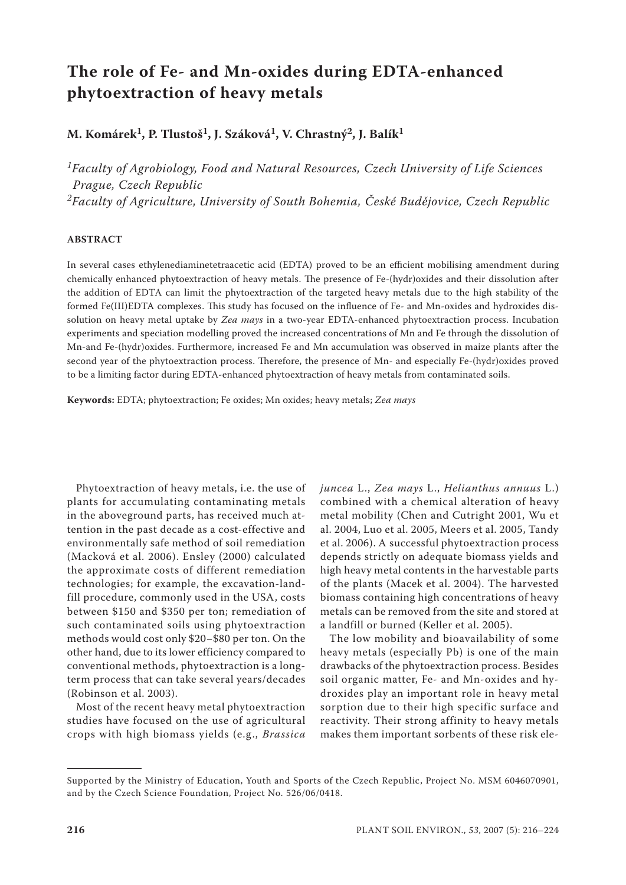# **The role of Fe- and Mn-oxides during EDTA-enhanced phytoextraction of heavy metals**

**M. Komárek1, P. Tlustoš1, J. Száková1, V. Chrastný2, J. Balík1**

*1Faculty of Agrobiology, Food and Natural Resources, Czech University of Life Sciences Prague, Czech Republic 2Faculty of Agriculture, University of South Bohemia, České Budějovice, Czech Republic*

## **ABSTRACT**

In several cases ethylenediaminetetraacetic acid (EDTA) proved to be an efficient mobilising amendment during chemically enhanced phytoextraction of heavy metals. The presence of Fe-(hydr)oxides and their dissolution after the addition of EDTA can limit the phytoextraction of the targeted heavy metals due to the high stability of the formed Fe(III)EDTA complexes. This study has focused on the influence of Fe- and Mn-oxides and hydroxides dissolution on heavy metal uptake by *Zea mays* in a two-year EDTA-enhanced phytoextraction process. Incubation experiments and speciation modelling proved the increased concentrations of Mn and Fe through the dissolution of Mn-and Fe-(hydr)oxides. Furthermore, increased Fe and Mn accumulation was observed in maize plants after the second year of the phytoextraction process. Therefore, the presence of Mn- and especially Fe-(hydr)oxides proved to be a limiting factor during EDTA-enhanced phytoextraction of heavy metals from contaminated soils.

**Keywords:** EDTA; phytoextraction; Fe oxides; Mn oxides; heavy metals; *Zea mays*

Phytoextraction of heavy metals, i.e. the use of plants for accumulating contaminating metals in the aboveground parts, has received much attention in the past decade as a cost-effective and environmentally safe method of soil remediation (Macková et al. 2006). Ensley (2000) calculated the approximate costs of different remediation technologies; for example, the excavation-landfill procedure, commonly used in the USA, costs between \$150 and \$350 per ton; remediation of such contaminated soils using phytoextraction methods would cost only \$20−\$80 per ton. On the other hand, due to its lower efficiency compared to conventional methods, phytoextraction is a longterm process that can take several years/decades (Robinson et al. 2003).

Most of the recent heavy metal phytoextraction studies have focused on the use of agricultural crops with high biomass yields (e.g., *Brassica*  *juncea* L., *Zea mays* L., *Helianthus annuus* L.) combined with a chemical alteration of heavy metal mobility (Chen and Cutright 2001, Wu et al. 2004, Luo et al. 2005, Meers et al. 2005, Tandy et al. 2006). A successful phytoextraction process depends strictly on adequate biomass yields and high heavy metal contents in the harvestable parts of the plants (Macek et al. 2004). The harvested biomass containing high concentrations of heavy metals can be removed from the site and stored at a landfill or burned (Keller et al. 2005).

The low mobility and bioavailability of some heavy metals (especially Pb) is one of the main drawbacks of the phytoextraction process. Besides soil organic matter, Fe- and Mn-oxides and hydroxides play an important role in heavy metal sorption due to their high specific surface and reactivity. Their strong affinity to heavy metals makes them important sorbents of these risk ele-

Supported by the Ministry of Education, Youth and Sports of the Czech Republic, Project No. MSM 6046070901, and by the Czech Science Foundation, Project No. 526/06/0418.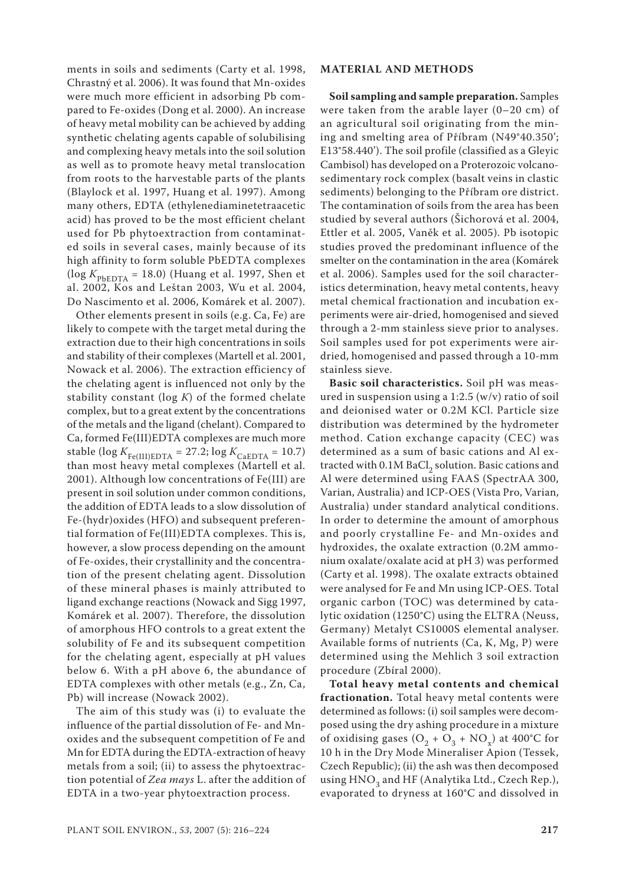ments in soils and sediments (Carty et al. 1998, Chrastný et al. 2006). It was found that Mn-oxides were much more efficient in adsorbing Pb compared to Fe-oxides (Dong et al. 2000). An increase of heavy metal mobility can be achieved by adding synthetic chelating agents capable of solubilising and complexing heavy metals into the soil solution as well as to promote heavy metal translocation from roots to the harvestable parts of the plants (Blaylock et al. 1997, Huang et al. 1997). Among many others, EDTA (ethylenediaminetetraacetic acid) has proved to be the most efficient chelant used for Pb phytoextraction from contaminated soils in several cases, mainly because of its high affinity to form soluble PbEDTA complexes (log  $K_{\text{PbEDTA}}$  = 18.0) (Huang et al. 1997, Shen et al. 2002, Kos and Leštan 2003, Wu et al. 2004, Do Nascimento et al. 2006, Komárek et al. 2007).

Other elements present in soils (e.g. Ca, Fe) are likely to compete with the target metal during the extraction due to their high concentrations in soils and stability of their complexes (Martell et al. 2001, Nowack et al. 2006). The extraction efficiency of the chelating agent is influenced not only by the stability constant (log *K*) of the formed chelate complex, but to a great extent by the concentrations of the metals and the ligand (chelant). Compared to Ca, formed Fe(III)EDTA complexes are much more stable (log  $K_{\text{Fe(III)EDTA}} = 27.2$ ; log  $K_{\text{CaEDTA}} = 10.7$ ) than most heavy metal complexes (Martell et al. 2001). Although low concentrations of Fe(III) are present in soil solution under common conditions, the addition of EDTA leads to a slow dissolution of Fe-(hydr)oxides (HFO) and subsequent preferential formation of Fe(III)EDTA complexes. This is, however, a slow process depending on the amount of Fe-oxides, their crystallinity and the concentration of the present chelating agent. Dissolution of these mineral phases is mainly attributed to ligand exchange reactions (Nowack and Sigg 1997, Komárek et al. 2007). Therefore, the dissolution of amorphous HFO controls to a great extent the solubility of Fe and its subsequent competition for the chelating agent, especially at pH values below 6. With a pH above 6, the abundance of EDTA complexes with other metals (e.g., Zn, Ca, Pb) will increase (Nowack 2002).

The aim of this study was (i) to evaluate the influence of the partial dissolution of Fe- and Mnoxides and the subsequent competition of Fe and Mn for EDTA during the EDTA-extraction of heavy metals from a soil; (ii) to assess the phytoextraction potential of *Zea mays* L. after the addition of EDTA in a two-year phytoextraction process.

#### **MATERIAL AND METHODS**

**Soil sampling and sample preparation.** Samples were taken from the arable layer (0–20 cm) of an agricultural soil originating from the mining and smelting area of Příbram (N49°40.350'; E13°58.440'). The soil profile (classified as a Gleyic Cambisol) has developed on a Proterozoic volcanosedimentary rock complex (basalt veins in clastic sediments) belonging to the Příbram ore district. The contamination of soils from the area has been studied by several authors (Šichorová et al. 2004, Ettler et al. 2005, Vaněk et al. 2005). Pb isotopic studies proved the predominant influence of the smelter on the contamination in the area (Komárek et al. 2006). Samples used for the soil characteristics determination, heavy metal contents, heavy metal chemical fractionation and incubation experiments were air-dried, homogenised and sieved through a 2-mm stainless sieve prior to analyses. Soil samples used for pot experiments were airdried, homogenised and passed through a 10-mm stainless sieve.

**Basic soil characteristics.** Soil pH was measured in suspension using a 1:2.5  $(w/v)$  ratio of soil and deionised water or 0.2M KCl. Particle size distribution was determined by the hydrometer method. Cation exchange capacity (CEC) was determined as a sum of basic cations and Al extracted with 0.1M BaCl<sub>2</sub> solution. Basic cations and Al were determined using FAAS (SpectrAA 300, Varian, Australia) and ICP-OES (Vista Pro, Varian, Australia) under standard analytical conditions. In order to determine the amount of amorphous and poorly crystalline Fe- and Mn-oxides and hydroxides, the oxalate extraction (0.2M ammonium oxalate/oxalate acid at pH 3) was performed (Carty et al. 1998). The oxalate extracts obtained were analysed for Fe and Mn using ICP-OES. Total organic carbon (TOC) was determined by catalytic oxidation (1250°C) using the ELTRA (Neuss, Germany) Metalyt CS1000S elemental analyser. Available forms of nutrients (Ca, K, Mg, P) were determined using the Mehlich 3 soil extraction procedure (Zbíral 2000).

**Total heavy metal contents and chemical fractionation.** Total heavy metal contents were determined as follows: (i) soil samples were decomposed using the dry ashing procedure in a mixture of oxidising gases  $(O_2 + O_3 + NO_x)$  at 400°C for 10 h in the Dry Mode Mineraliser Apion (Tessek, Czech Republic); (ii) the ash was then decomposed using  $HNO<sub>3</sub>$  and HF (Analytika Ltd., Czech Rep.), evaporated to dryness at 160°C and dissolved in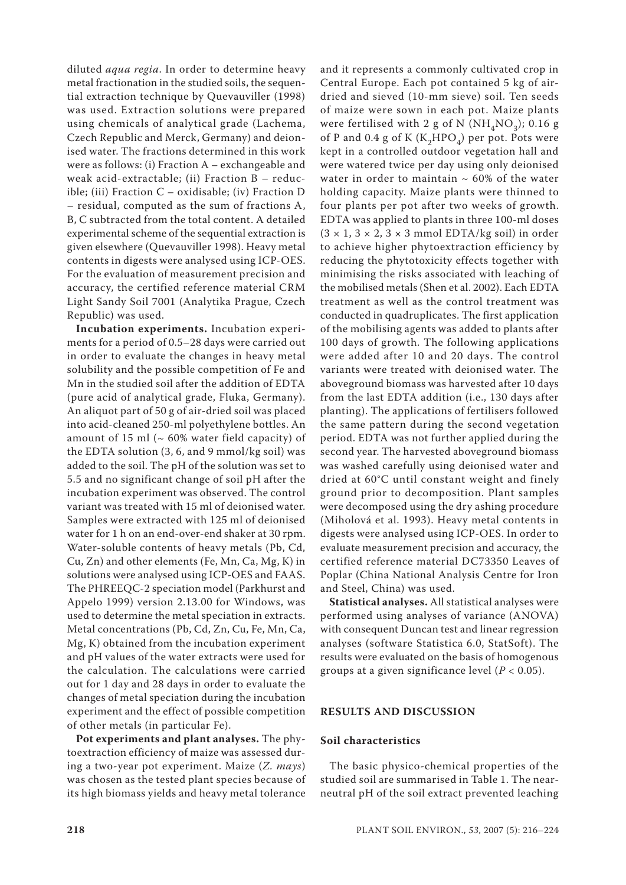diluted *aqua regia*. In order to determine heavy metal fractionation in the studied soils, the sequential extraction technique by Quevauviller (1998) was used. Extraction solutions were prepared using chemicals of analytical grade (Lachema, Czech Republic and Merck, Germany) and deionised water. The fractions determined in this work were as follows: (i) Fraction A – exchangeable and weak acid-extractable; (ii) Fraction B – reducible; (iii) Fraction C – oxidisable; (iv) Fraction D – residual, computed as the sum of fractions A, B, C subtracted from the total content. A detailed experimental scheme of the sequential extraction is given elsewhere (Quevauviller 1998). Heavy metal contents in digests were analysed using ICP-OES. For the evaluation of measurement precision and accuracy, the certified reference material CRM Light Sandy Soil 7001 (Analytika Prague, Czech Republic) was used.

**Incubation experiments.** Incubation experiments for a period of 0.5–28 days were carried out in order to evaluate the changes in heavy metal solubility and the possible competition of Fe and Mn in the studied soil after the addition of EDTA (pure acid of analytical grade, Fluka, Germany). An aliquot part of 50 g of air-dried soil was placed into acid-cleaned 250-ml polyethylene bottles. An amount of 15 ml ( $\sim$  60% water field capacity) of the EDTA solution (3, 6, and 9 mmol/kg soil) was added to the soil. The pH of the solution was set to 5.5 and no significant change of soil pH after the incubation experiment was observed. The control variant was treated with 15 ml of deionised water. Samples were extracted with 125 ml of deionised water for 1 h on an end-over-end shaker at 30 rpm. Water-soluble contents of heavy metals (Pb, Cd, Cu, Zn) and other elements (Fe, Mn, Ca, Mg, K) in solutions were analysed using ICP-OES and FAAS. The PHREEQC-2 speciation model (Parkhurst and Appelo 1999) version 2.13.00 for Windows, was used to determine the metal speciation in extracts. Metal concentrations (Pb, Cd, Zn, Cu, Fe, Mn, Ca, Mg, K) obtained from the incubation experiment and pH values of the water extracts were used for the calculation. The calculations were carried out for 1 day and 28 days in order to evaluate the changes of metal speciation during the incubation experiment and the effect of possible competition of other metals (in particular Fe).

**Pot experiments and plant analyses.** The phytoextraction efficiency of maize was assessed during a two-year pot experiment. Maize (*Z. mays*) was chosen as the tested plant species because of its high biomass yields and heavy metal tolerance

and it represents a commonly cultivated crop in Central Europe. Each pot contained 5 kg of airdried and sieved (10-mm sieve) soil. Ten seeds of maize were sown in each pot. Maize plants were fertilised with 2 g of N ( $NH<sub>4</sub>NO<sub>3</sub>$ ); 0.16 g of P and 0.4 g of K  $(K_2HPO_4)$  per pot. Pots were kept in a controlled outdoor vegetation hall and were watered twice per day using only deionised water in order to maintain  $\sim 60\%$  of the water holding capacity. Maize plants were thinned to four plants per pot after two weeks of growth. EDTA was applied to plants in three 100-ml doses  $(3 \times 1, 3 \times 2, 3 \times 3 \text{ mmol EDTA/kg soil})$  in order to achieve higher phytoextraction efficiency by reducing the phytotoxicity effects together with minimising the risks associated with leaching of the mobilised metals (Shen et al. 2002). Each EDTA treatment as well as the control treatment was conducted in quadruplicates. The first application of the mobilising agents was added to plants after 100 days of growth. The following applications were added after 10 and 20 days. The control variants were treated with deionised water. The aboveground biomass was harvested after 10 days from the last EDTA addition (i.e., 130 days after planting). The applications of fertilisers followed the same pattern during the second vegetation period. EDTA was not further applied during the second year. The harvested aboveground biomass was washed carefully using deionised water and dried at 60°C until constant weight and finely ground prior to decomposition. Plant samples were decomposed using the dry ashing procedure (Miholová et al. 1993). Heavy metal contents in digests were analysed using ICP-OES. In order to evaluate measurement precision and accuracy, the certified reference material DC73350 Leaves of Poplar (China National Analysis Centre for Iron and Steel, China) was used.

**Statistical analyses.** All statistical analyses were performed using analyses of variance (ANOVA) with consequent Duncan test and linear regression analyses (software Statistica 6.0, StatSoft). The results were evaluated on the basis of homogenous groups at a given significance level (*P* < 0.05).

# **RESULTS AND DISCUSSION**

## **Soil characteristics**

The basic physico-chemical properties of the studied soil are summarised in Table 1. The nearneutral pH of the soil extract prevented leaching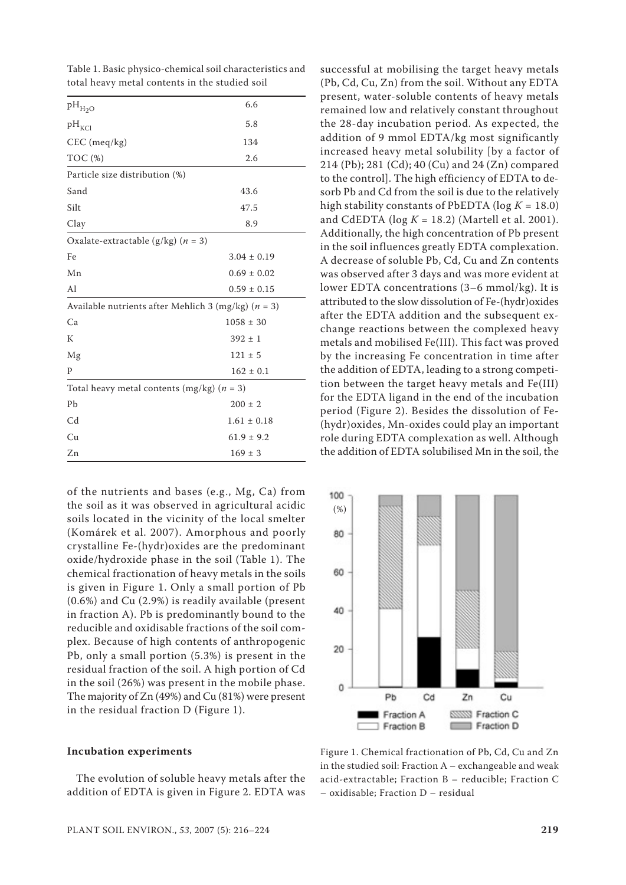| $\rm{pH}_{\rm{H_2O}}$                                   | 6.6             |
|---------------------------------------------------------|-----------------|
| $pH_{KCl}$                                              | 5.8             |
| $CEC$ (meq/kg)                                          | 134             |
| TOC (%)                                                 | 2.6             |
| Particle size distribution (%)                          |                 |
| Sand                                                    | 43.6            |
| Silt                                                    | 47.5            |
| Clay                                                    | 8.9             |
| Oxalate-extractable (g/kg) $(n = 3)$                    |                 |
| Fe                                                      | $3.04 \pm 0.19$ |
| Mn                                                      | $0.69 \pm 0.02$ |
| Al                                                      | $0.59 \pm 0.15$ |
| Available nutrients after Mehlich 3 (mg/kg) ( $n = 3$ ) |                 |
| Ca                                                      | $1058 \pm 30$   |
| K                                                       | $392 \pm 1$     |
| Mg                                                      | $121 \pm 5$     |
| P                                                       | $162 \pm 0.1$   |
| Total heavy metal contents (mg/kg) ( $n = 3$ )          |                 |
| Pb                                                      | $200 \pm 2$     |
| C <sub>d</sub>                                          | $1.61 \pm 0.18$ |
| Cu                                                      | $61.9 \pm 9.2$  |
| Zn                                                      | $169 \pm 3$     |

Table 1. Basic physico-chemical soil characteristics and total heavy metal contents in the studied soil

of the nutrients and bases (e.g., Mg, Ca) from the soil as it was observed in agricultural acidic soils located in the vicinity of the local smelter (Komárek et al. 2007). Amorphous and poorly crystalline Fe-(hydr)oxides are the predominant oxide/hydroxide phase in the soil (Table 1). The chemical fractionation of heavy metals in the soils is given in Figure 1. Only a small portion of Pb (0.6%) and Cu (2.9%) is readily available (present in fraction A). Pb is predominantly bound to the reducible and oxidisable fractions of the soil complex. Because of high contents of anthropogenic Pb, only a small portion (5.3%) is present in the residual fraction of the soil. A high portion of Cd in the soil (26%) was present in the mobile phase. The majority of Zn (49%) and Cu (81%) were present in the residual fraction D (Figure 1).

#### **Incubation experiments**

The evolution of soluble heavy metals after the addition of EDTA is given in Figure 2. EDTA was

successful at mobilising the target heavy metals (Pb, Cd, Cu, Zn) from the soil. Without any EDTA present, water-soluble contents of heavy metals remained low and relatively constant throughout the 28-day incubation period. As expected, the addition of 9 mmol EDTA/kg most significantly increased heavy metal solubility [by a factor of 214 (Pb); 281 (Cd); 40 (Cu) and 24 (Zn) compared to the control]. The high efficiency of EDTA to desorb Pb and Cd from the soil is due to the relatively high stability constants of PbEDTA ( $log K = 18.0$ ) and CdEDTA ( $log K = 18.2$ ) (Martell et al. 2001). Additionally, the high concentration of Pb present in the soil influences greatly EDTA complexation. A decrease of soluble Pb, Cd, Cu and Zn contents was observed after 3 days and was more evident at lower EDTA concentrations (3–6 mmol/kg). It is attributed to the slow dissolution of Fe-(hydr)oxides after the EDTA addition and the subsequent exchange reactions between the complexed heavy metals and mobilised Fe(III). This fact was proved by the increasing Fe concentration in time after the addition of EDTA, leading to a strong competition between the target heavy metals and Fe(III) for the EDTA ligand in the end of the incubation period (Figure 2). Besides the dissolution of Fe- (hydr)oxides, Mn-oxides could play an important role during EDTA complexation as well. Although the addition of EDTA solubilised Mn in the soil, the



Figure 1. Chemical fractionation of Pb, Cd, Cu and Zn in the studied soil: Fraction A – exchangeable and weak acid-extractable; Fraction B – reducible; Fraction C – oxidisable; Fraction D – residual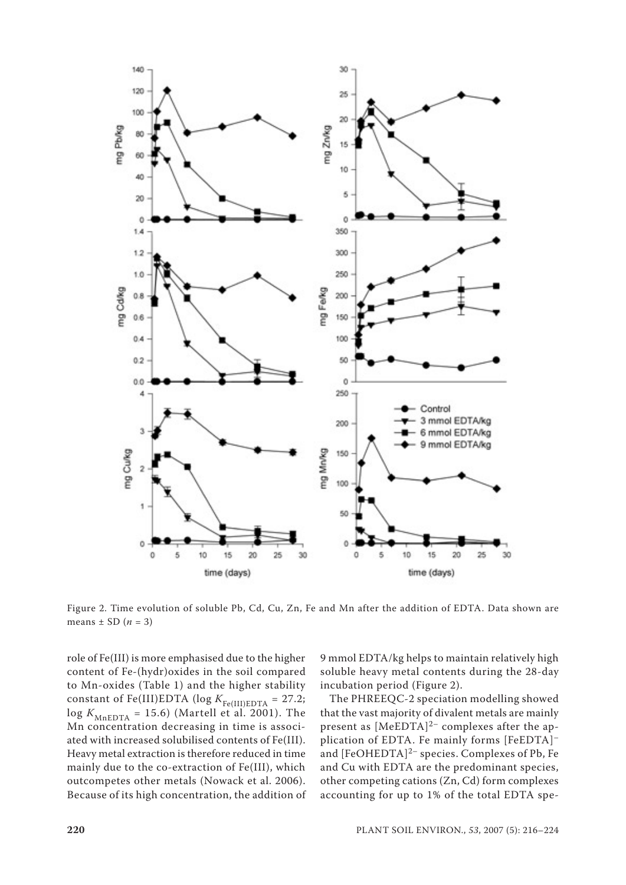

Figure 2. Time evolution of soluble Pb, Cd, Cu, Zn, Fe and Mn after the addition of EDTA. Data shown are means  $\pm$  SD ( $n = 3$ )

role of Fe(III) is more emphasised due to the higher content of Fe-(hydr)oxides in the soil compared to Mn-oxides (Table 1) and the higher stability constant of Fe(III)EDTA ( $log K_{Fe(III)EDTA} = 27.2$ ;  $\log K_{\text{MnEDTA}} = 15.6$ ) (Martell et al. 2001). The Mn concentration decreasing in time is associated with increased solubilised contents of Fe(III). Heavy metal extraction is therefore reduced in time mainly due to the co-extraction of Fe(III), which outcompetes other metals (Nowack et al. 2006). Because of its high concentration, the addition of

9 mmol EDTA/kg helps to maintain relatively high soluble heavy metal contents during the 28-day incubation period (Figure 2).

The PHREEQC-2 speciation modelling showed that the vast majority of divalent metals are mainly present as  $[MeEDTA]^{2-}$  complexes after the application of EDTA. Fe mainly forms [FeEDTA]– and [FeOHEDTA]<sup>2-</sup> species. Complexes of Pb, Fe and Cu with EDTA are the predominant species, other competing cations (Zn, Cd) form complexes accounting for up to 1% of the total EDTA spe-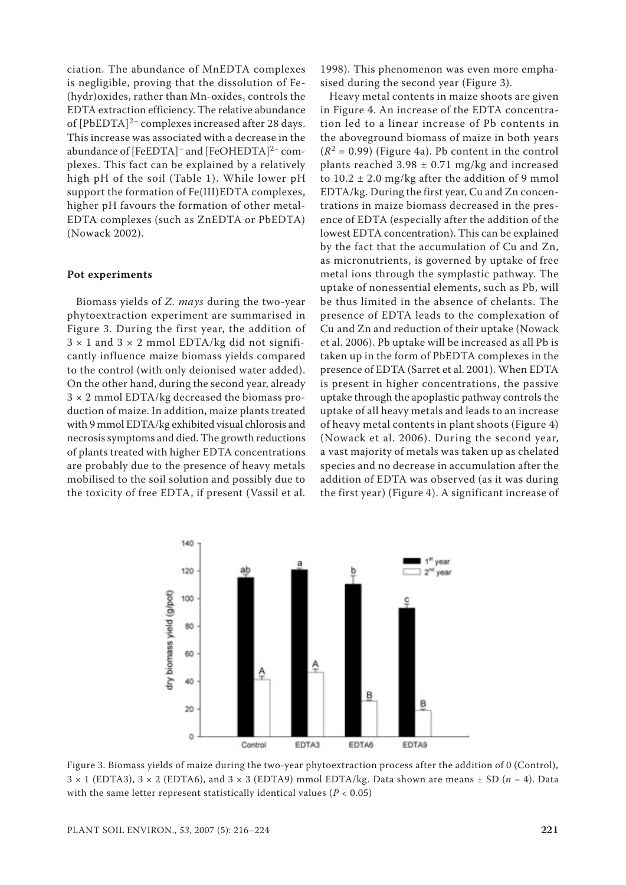ciation. The abundance of MnEDTA complexes is negligible, proving that the dissolution of Fe- (hydr)oxides, rather than Mn-oxides, controls the EDTA extraction efficiency. The relative abundance of [PbEDTA]<sup>2-</sup> complexes increased after 28 days. This increase was associated with a decrease in the abundance of [FeEDTA]<sup>-</sup> and [FeOHEDTA]<sup>2-</sup> complexes. This fact can be explained by a relatively high pH of the soil (Table 1). While lower pH support the formation of Fe(III)EDTA complexes, higher pH favours the formation of other metal-EDTA complexes (such as ZnEDTA or PbEDTA) (Nowack 2002).

#### **Pot experiments**

Biomass yields of *Z. mays* during the two-year phytoextraction experiment are summarised in Figure 3. During the first year, the addition of  $3 \times 1$  and  $3 \times 2$  mmol EDTA/kg did not significantly influence maize biomass yields compared to the control (with only deionised water added). On the other hand, during the second year, already  $3 \times 2$  mmol EDTA/kg decreased the biomass production of maize. In addition, maize plants treated with 9 mmol EDTA/kg exhibited visual chlorosis and necrosis symptoms and died. The growth reductions of plants treated with higher EDTA concentrations are probably due to the presence of heavy metals mobilised to the soil solution and possibly due to the toxicity of free EDTA, if present (Vassil et al.

1998). This phenomenon was even more emphasised during the second year (Figure 3).

Heavy metal contents in maize shoots are given in Figure 4. An increase of the EDTA concentration led to a linear increase of Pb contents in the aboveground biomass of maize in both years  $(R<sup>2</sup> = 0.99)$  (Figure 4a). Pb content in the control plants reached  $3.98 \pm 0.71$  mg/kg and increased to  $10.2 \pm 2.0$  mg/kg after the addition of 9 mmol EDTA/kg. During the first year, Cu and Zn concentrations in maize biomass decreased in the presence of EDTA (especially after the addition of the lowest EDTA concentration). This can be explained by the fact that the accumulation of Cu and Zn, as micronutrients, is governed by uptake of free metal ions through the symplastic pathway. The uptake of nonessential elements, such as Pb, will be thus limited in the absence of chelants. The presence of EDTA leads to the complexation of Cu and Zn and reduction of their uptake (Nowack et al. 2006). Pb uptake will be increased as all Pb is taken up in the form of PbEDTA complexes in the presence of EDTA (Sarret et al. 2001). When EDTA is present in higher concentrations, the passive uptake through the apoplastic pathway controls the uptake of all heavy metals and leads to an increase of heavy metal contents in plant shoots (Figure 4) (Nowack et al. 2006). During the second year, a vast majority of metals was taken up as chelated species and no decrease in accumulation after the addition of EDTA was observed (as it was during the first year) (Figure 4). A significant increase of



Figure 3. Biomass yields of maize during the two-year phytoextraction process after the addition of 0 (Control),  $3 \times 1$  (EDTA3),  $3 \times 2$  (EDTA6), and  $3 \times 3$  (EDTA9) mmol EDTA/kg. Data shown are means  $\pm$  SD ( $n = 4$ ). Data with the same letter represent statistically identical values (*P* < 0.05)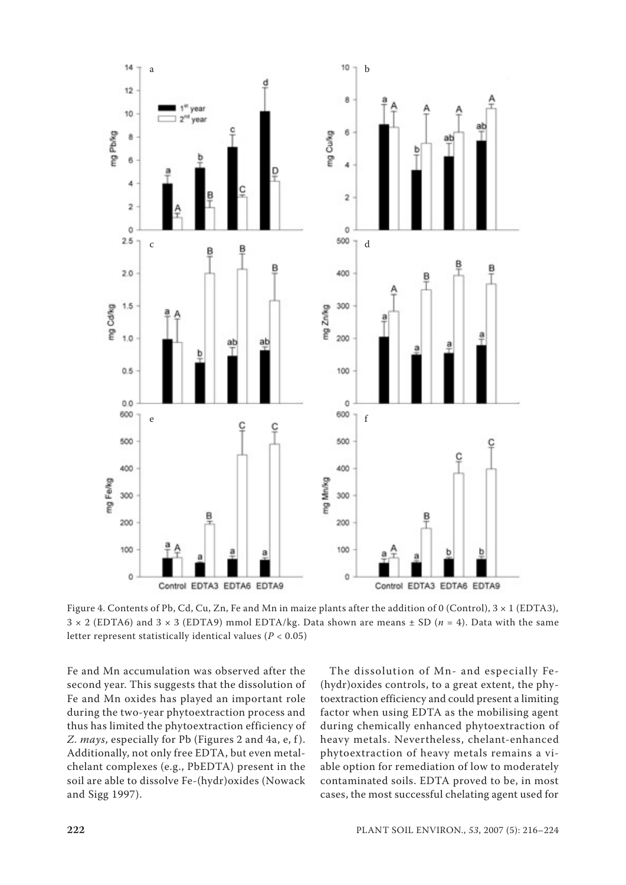

Figure 4. Contents of Pb, Cd, Cu, Zn, Fe and Mn in maize plants after the addition of 0 (Control),  $3 \times 1$  (EDTA3), 3 × 2 (EDTA6) and 3 × 3 (EDTA9) mmol EDTA/kg. Data shown are means ± SD (*n* = 4). Data with the same letter represent statistically identical values (*P* < 0.05)

Fe and Mn accumulation was observed after the second year. This suggests that the dissolution of Fe and Mn oxides has played an important role during the two-year phytoextraction process and thus has limited the phytoextraction efficiency of *Z. mays*, especially for Pb (Figures 2 and 4a, e, f ). Additionally, not only free EDTA, but even metalchelant complexes (e.g., PbEDTA) present in the soil are able to dissolve Fe-(hydr)oxides (Nowack and Sigg 1997).

The dissolution of Mn- and especially Fe- (hydr)oxides controls, to a great extent, the phytoextraction efficiency and could present a limiting factor when using EDTA as the mobilising agent during chemically enhanced phytoextraction of heavy metals. Nevertheless, chelant-enhanced phytoextraction of heavy metals remains a viable option for remediation of low to moderately contaminated soils. EDTA proved to be, in most cases, the most successful chelating agent used for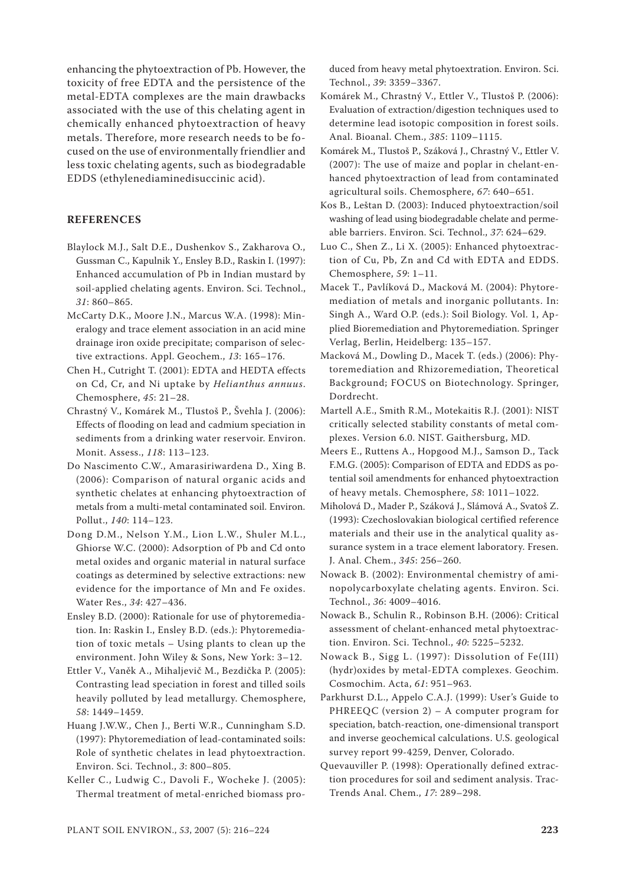enhancing the phytoextraction of Pb. However, the toxicity of free EDTA and the persistence of the metal-EDTA complexes are the main drawbacks associated with the use of this chelating agent in chemically enhanced phytoextraction of heavy metals. Therefore, more research needs to be focused on the use of environmentally friendlier and less toxic chelating agents, such as biodegradable EDDS (ethylenediaminedisuccinic acid).

# **REFERENCES**

- Blaylock M.J., Salt D.E., Dushenkov S., Zakharova O., Gussman C., Kapulnik Y., Ensley B.D., Raskin I. (1997): Enhanced accumulation of Pb in Indian mustard by soil-applied chelating agents. Environ. Sci. Technol., *31*: 860–865.
- McCarty D.K., Moore J.N., Marcus W.A. (1998): Mineralogy and trace element association in an acid mine drainage iron oxide precipitate; comparison of selective extractions. Appl. Geochem., *13*: 165–176.
- Chen H., Cutright T. (2001): EDTA and HEDTA effects on Cd, Cr, and Ni uptake by *Helianthus annuus*. Chemosphere, *45*: 21–28.
- Chrastný V., Komárek M., Tlustoš P., Švehla J. (2006): Effects of flooding on lead and cadmium speciation in sediments from a drinking water reservoir. Environ. Monit. Assess., *118*: 113–123.
- Do Nascimento C.W., Amarasiriwardena D., Xing B. (2006): Comparison of natural organic acids and synthetic chelates at enhancing phytoextraction of metals from a multi-metal contaminated soil. Environ. Pollut., *140*: 114–123.
- Dong D.M., Nelson Y.M., Lion L.W., Shuler M.L., Ghiorse W.C. (2000): Adsorption of Pb and Cd onto metal oxides and organic material in natural surface coatings as determined by selective extractions: new evidence for the importance of Mn and Fe oxides. Water Res., *34*: 427–436.
- Ensley B.D. (2000): Rationale for use of phytoremediation. In: Raskin I., Ensley B.D. (eds.): Phytoremediation of toxic metals – Using plants to clean up the environment. John Wiley & Sons, New York: 3–12.
- Ettler V., Vaněk A., Mihaljevič M., Bezdička P. (2005): Contrasting lead speciation in forest and tilled soils heavily polluted by lead metallurgy. Chemosphere, *58*: 1449–1459.
- Huang J.W.W., Chen J., Berti W.R., Cunningham S.D. (1997): Phytoremediation of lead-contaminated soils: Role of synthetic chelates in lead phytoextraction. Environ. Sci. Technol., *3*: 800–805.
- Keller C., Ludwig C., Davoli F., Wocheke J. (2005): Thermal treatment of metal-enriched biomass pro-

duced from heavy metal phytoextration. Environ. Sci. Technol., *39*: 3359–3367.

- Komárek M., Chrastný V., Ettler V., Tlustoš P. (2006): Evaluation of extraction/digestion techniques used to determine lead isotopic composition in forest soils. Anal. Bioanal. Chem., *385*: 1109–1115.
- Komárek M., Tlustoš P., Száková J., Chrastný V., Ettler V. (2007): The use of maize and poplar in chelant-enhanced phytoextraction of lead from contaminated agricultural soils. Chemosphere, *67*: 640–651.
- Kos B., Leštan D. (2003): Induced phytoextraction/soil washing of lead using biodegradable chelate and permeable barriers. Environ. Sci. Technol., *37*: 624–629.
- Luo C., Shen Z., Li X. (2005): Enhanced phytoextraction of Cu, Pb, Zn and Cd with EDTA and EDDS. Chemosphere, *59*: 1–11.
- Macek T., Pavlíková D., Macková M. (2004): Phytoremediation of metals and inorganic pollutants. In: Singh A., Ward O.P. (eds.): Soil Biology. Vol. 1, Applied Bioremediation and Phytoremediation. Springer Verlag, Berlin, Heidelberg: 135–157.
- Macková M., Dowling D., Macek T. (eds.) (2006): Phytoremediation and Rhizoremediation, Theoretical Background; FOCUS on Biotechnology. Springer, Dordrecht.
- Martell A.E., Smith R.M., Motekaitis R.J. (2001): NIST critically selected stability constants of metal complexes. Version 6.0. NIST. Gaithersburg, MD.
- Meers E., Ruttens A., Hopgood M.J., Samson D., Tack F.M.G. (2005): Comparison of EDTA and EDDS as potential soil amendments for enhanced phytoextraction of heavy metals. Chemosphere, *58*: 1011–1022.
- Miholová D., Mader P., Száková J., Slámová A., Svatoš Z. (1993): Czechoslovakian biological certified reference materials and their use in the analytical quality assurance system in a trace element laboratory. Fresen. J. Anal. Chem., *345*: 256–260.
- Nowack B. (2002): Environmental chemistry of aminopolycarboxylate chelating agents. Environ. Sci. Technol., *36*: 4009–4016.
- Nowack B., Schulin R., Robinson B.H. (2006): Critical assessment of chelant-enhanced metal phytoextraction. Environ. Sci. Technol., *40*: 5225–5232.
- Nowack B., Sigg L. (1997): Dissolution of Fe(III) (hydr)oxides by metal-EDTA complexes. Geochim. Cosmochim. Acta, *61*: 951–963.
- Parkhurst D.L., Appelo C.A.J. (1999): User's Guide to PHREEQC (version 2) – A computer program for speciation, batch-reaction, one-dimensional transport and inverse geochemical calculations. U.S. geological survey report 99-4259, Denver, Colorado.
- Quevauviller P. (1998): Operationally defined extraction procedures for soil and sediment analysis. Trac-Trends Anal. Chem., *17*: 289–298.